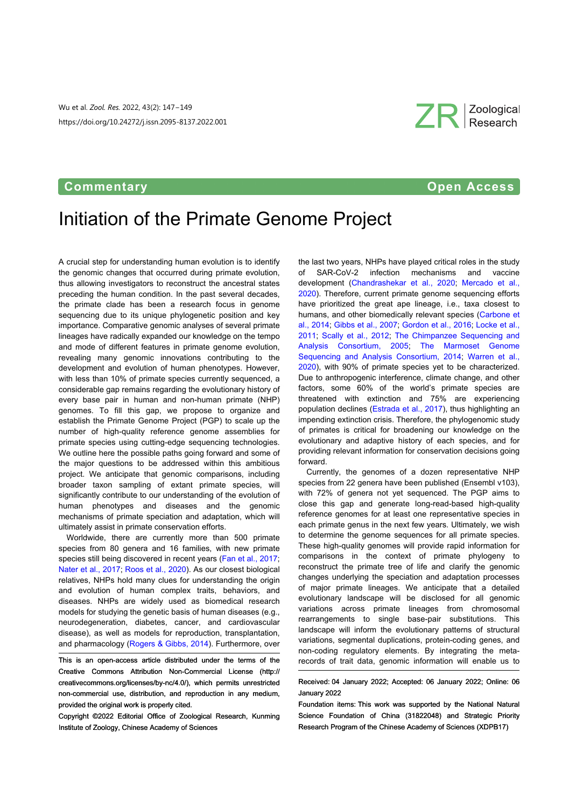Wu et al. *Zool. Res.* 2022, 43(2): 147−149 https://doi.org/10.24272/j.issn.2095-8137.2022.001

## **Commentary Commentary Commentary Commentary Open Access**

ZR Zoological

# Initiation of the Primate Genome Project

A crucial step for understanding human evolution is to identify the genomic changes that occurred during primate evolution, thus allowing investigators to reconstruct the ancestral states preceding the human condition. In the past several decades, the primate clade has been a research focus in genome sequencing due to its unique phylogenetic position and key importance. Comparative genomic analyses of several primate lineages have radically expanded our knowledge on the tempo and mode of different features in primate genome evolution, revealing many genomic innovations contributing to the development and evolution of human phenotypes. However, with less than 10% of primate species currently sequenced, a considerable gap remains regarding the evolutionary history of every base pair in human and non-human primate (NHP) genomes. To fill this gap, we propose to organize and establish the Primate Genome Project (PGP) to scale up the number of high-quality reference genome assemblies for primate species using cutting-edge sequencing technologies. We outline here the possible paths going forward and some of the major questions to be addressed within this ambitious project. We anticipate that genomic comparisons, including broader taxon sampling of extant primate species, will significantly contribute to our understanding of the evolution of human phenotypes and diseases and the genomic mechanisms of primate speciation and adaptation, which will ultimately assist in primate conservation efforts.

Worldwide, there are currently more than 500 primate species from 80 genera and 16 families, with new primate species still being discovered in recent years [\(Fan et al., 2017](#page-2-0); [Nater et al., 2017](#page-2-1); [Roos et al., 2020](#page-2-2)). As our closest biological relatives, NHPs hold many clues for understanding the origin and evolution of human complex traits, behaviors, and diseases. NHPs are widely used as biomedical research models for studying the genetic basis of human diseases (e.g., neurodegeneration, diabetes, cancer, and cardiovascular disease), as well a[s models for reproduct](#page-2-3)ion, transplantation, and pharmacology ([Rogers & Gibbs, 2014](#page-2-3)). Furthermore, over

Copyright ©2022 Editorial Office of Zoological Research, Kunming Institute of Zoology, Chinese Academy of Sciences

the last two years, NHPs have played critical roles in the study of SAR-CoV-2 infection mechanisms and vaccine development ([Chandrashekar et al., 202](#page-1-0)0; [Mercado et al](#page-2-4)., [2020](#page-2-4)). Therefore, current primate genome sequencing efforts have prioritized the great ape lineage, i.e., taxa closest to humans, and other biomedically relevant species [\(Carbone et](#page-1-1) [al., 2014](#page-1-1); [Gibbs et al., 2007](#page-2-5); [Gordon et al., 2016](#page-2-6); [Locke et al.,](#page-2-7) [2011](#page-2-7); [Scally et al., 2012](#page-2-8); [The Chimpanzee Sequencing an](#page-2-9)d [Analysis Consortium, 2](#page-2-9)005; [The Marmoset Geno](#page-2-10)me [Sequencing and Analysis Consortium, 201](#page-2-10)4; [Warren et al](#page-2-11)., [2020](#page-2-11)), with 90% of primate species yet to be characterized. Due to anthropogenic interference, climate change, and other factors, some 60% of the world's primate species are threatened with extinction and 75% are experiencing population declines [\(Estrada et al., 2017](#page-2-12)), thus highlighting an impending extinction crisis. Therefore, the phylogenomic study of primates is critical for broadening our knowledge on the evolutionary and adaptive history of each species, and for providing relevant information for conservation decisions going forward.

Currently, the genomes of a dozen representative NHP species from 22 genera have been published (Ensembl v103), with 72% of genera not yet sequenced. The PGP aims to close this gap and generate long-read-based high-quality reference genomes for at least one representative species in each primate genus in the next few years. Ultimately, we wish to determine the genome sequences for all primate species. These high-quality genomes will provide rapid information for comparisons in the context of primate phylogeny to reconstruct the primate tree of life and clarify the genomic changes underlying the speciation and adaptation processes of major primate lineages. We anticipate that a detailed evolutionary landscape will be disclosed for all genomic variations across primate lineages from chromosomal rearrangements to single base-pair substitutions. This landscape will inform the evolutionary patterns of structural variations, segmental duplications, protein-coding genes, and non-coding regulatory elements. By integrating the metarecords of trait data, genomic information will enable us to

Received: 04 January 2022; Accepted: 06 January 2022; Online: 06 January 2022

Foundation items: This work was supported by the National Natural Science Foundation of China (31822048) and Strategic Priority Research Program of the Chinese Academy of Sciences (XDPB17)

This is an open-access article distributed under the terms of the Creative Commons Attribution Non-Commercial License ([http://](http://creativecommons.org/licenses/by-nc/4.0/) [creativecommons.org/licenses/by](http://creativecommons.org/licenses/by-nc/4.0/)-[nc/4.0/](http://creativecommons.org/licenses/by-nc/4.0/)), which permits unrestricted non-commercial use, distribution, and reproduction in any medium, provided the original work is properly cited.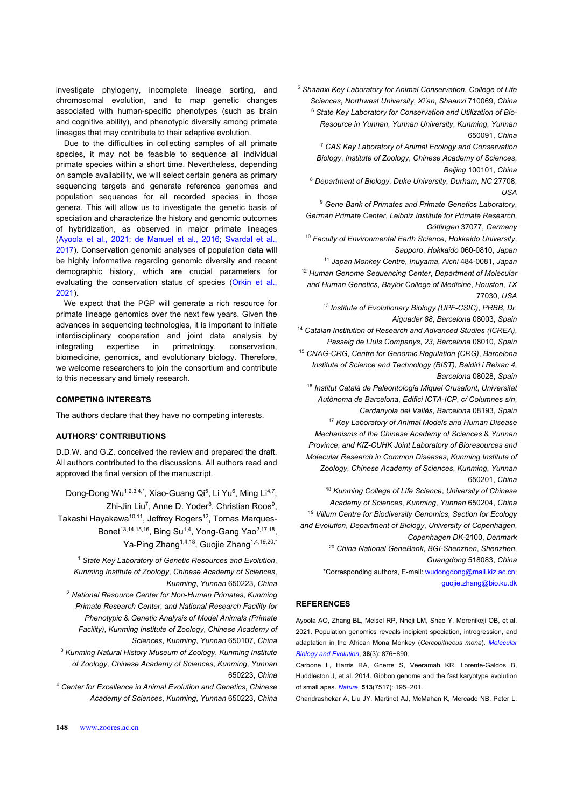investigate phylogeny, incomplete lineage sorting, and chromosomal evolution, and to map genetic changes associated with human-specific phenotypes (such as brain and cognitive ability), and phenotypic diversity among primate lineages that may contribute to their adaptive evolution.

Due to the difficulties in collecting samples of all primate species, it may not be feasible to sequence all individual primate species within a short time. Nevertheless, depending on sample availability, we will select certain genera as primary sequencing targets and generate reference genomes and population sequences for all recorded species in those genera. This will allow us to investigate the genetic basis of speciation and characterize the history and genomic outcomes of hybridization, as observed in major primate lineages [\(Ayoola et al., 2021](#page-1-2); [de Manuel et al., 201](#page-2-13)6; [Svardal et al.](#page-2-14), [2017](#page-2-14)). Conservation genomic analyses of population data will be highly informative regarding genomic diversity and recent demographic history, which are crucial par[ameters fo](#page-2-15)r [evalu](#page-2-15)atingthe conservation status of species (Orkin et al., [2021](#page-2-15)).

We expect that the PGP will generate a rich resource for primate lineage genomics over the next few years. Given the advances in sequencing technologies, it is important to initiate interdisciplinary cooperation and joint data analysis by integrating expertise in primatology, conservation, biomedicine, genomics, and evolutionary biology. Therefore, we welcome researchers to join the consortium and contribute to this necessary and timely research.

#### **COMPETING INTERESTS**

The authors declare that they have no competing interests.

#### **AUTHORS' CONTRIBUTIONS**

D.D.W. and G.Z. conceived the review and prepared the draft. All authors contributed to the discussions. All authors read and approved the final version of the manuscript.

Dong-Dong Wu<sup>1,2,3,4,\*</sup>, Xiao-Guang Qi<sup>5</sup>, Li Yu<sup>6</sup>, Ming Li<sup>4,7</sup>, Zhi-Jin Liu<sup>7</sup>, Anne D. Yoder<sup>8</sup>, Christian Roos<sup>9</sup>, Takashi Hayakawa<sup>10,11</sup>, Jeffrey Rogers<sup>12</sup>, Tomas Marques-

Bonet<sup>13,14,15,16</sup>, Bing Su<sup>1,4</sup>, Yong-Gang Yao<sup>2,17,18</sup>, Ya-Ping Zhang<sup>1,4,18</sup>, Guojie Zhang<sup>1,4,19,20,\*</sup>

<sup>1</sup> *State Key Laboratory of Genetic Resources and Evolution*, *Kunming Institute of Zoology*, *Chinese Academy of Sciences*, *Kunming*, *Yunnan* 650223, *China*

<sup>2</sup> *National Resource Center for Non-Human Primates*, *Kunming Primate Research Center*, *and National Research Facility for Phenotypic* & *Genetic Analysis of Model Animals (Primate Facility)*, *Kunming Institute of Zoology*, *Chinese Academy of Sciences*, *Kunming*, *Yunnan* 650107, *China*

<sup>3</sup> *Kunming Natural History Museum of Zoology*, *Kunming Institute of Zoology*, *Chinese Academy of Sciences*, *Kunming*, *Yunnan* 650223, *China*

<sup>4</sup> *Center for Excellence in Animal Evolution and Genetics*, *Chinese Academy of Sciences*, *Kunming*, *Yunnan* 650223, *China* <sup>5</sup> *Shaanxi Key Laboratory for Animal Conservation*, *College of Life Sciences*, *Northwest University*, *Xi'an*, *Shaanxi* 710069, *China* <sup>6</sup> *State Key Laboratory for Conservation and Utilization of Bio-Resource in Yunnan*, *Yunnan University*, *Kunming*, *Yunnan* 650091, *China*

<sup>7</sup> *CAS Key Laboratory of Animal Ecology and Conservation Biology*, *Institute of Zoology*, *Chinese Academy of Sciences*, *Beijing* 100101, *China*

<sup>8</sup> *Department of Biology*, *Duke University*, *Durham*, *NC* 27708, *USA*

<sup>9</sup> *Gene Bank of Primates and Primate Genetics Laboratory*, *German Primate Center*, *Leibniz Institute for Primate Research*, *Göttingen* 37077, *Germany*

<sup>10</sup> *Faculty of Environmental Earth Science*, *Hokkaido University*, *Sapporo*, *Hokkaido* 060*-*0810, *Japan*

<sup>11</sup> *Japan Monkey Centre*, *Inuyama*, *Aichi* 484*-*0081, *Japan* <sup>12</sup> *Human Genome Sequencing Center*, *Department of Molecular and Human Genetics*, *Baylor College of Medicine*, *Houston*, *TX* 77030, *USA*

<sup>13</sup> *Institute of Evolutionary Biology (UPF-CSIC)*, *PRBB*, *Dr. Aiguader 88*, *Barcelona* 08003, *Spain*

<sup>14</sup> *Catalan Institution of Research and Advanced Studies (ICREA)*, *Passeig de Lluís Companys*, *23*, *Barcelona* 08010, *Spain*

<sup>15</sup> *CNAG-CRG*, *Centre for Genomic Regulation (CRG)*, *Barcelona Institute of Science and Technology (BIST)*, *Baldiri i Reixac 4*, *Barcelona* 08028, *Spain*

<sup>16</sup> *Institut Català de Paleontologia Miquel Crusafont*, *Universitat Autònoma de Barcelona*, *Edifici ICTA-ICP*, *c/ Columnes s/n*, *Cerdanyola del Vallès*, *Barcelona* 08193, *Spain* <sup>17</sup> *Key Laboratory of Animal Models and Human Disease*

*Mechanisms of the Chinese Academy of Sciences* & *Yunnan Province*, *and KIZ-CUHK Joint Laboratory of Bioresources and Molecular Research in Common Diseases*, *Kunming Institute of Zoology*, *Chinese Academy of Sciences*, *Kunming*, *Yunnan* 650201, *China*

<sup>18</sup> *Kunming College of Life Science*, *University of Chinese Academy of Sciences*, *Kunming*, *Yunnan* 650204, *China* <sup>19</sup> *Villum Centre for Biodiversity Genomics*, *Section for Ecology and Evolution*, *Department of Biology*, *University of Copenhagen*, *Copenhagen DK-*2100, *Denmark*

> <sup>20</sup> *China National GeneBank*, *BGI-Shenzhen*, *Shenzhen*, *[Guangdong](mailto:wudongdong@mail.kiz.ac.cn)* 518083, *China*

\*Corresponding authors, E-mail: [wudongdong@mail.kiz.ac.cn](mailto:wudongdong@mail.kiz.ac.cn)[;](mailto:guojie.zhang@bio.ku.dk) [guojie.zhang@bio.ku.dk](mailto:guojie.zhang@bio.ku.dk)

### <span id="page-1-2"></span>**REFERENCES**

Ayoola AO, Zhang BL, Meisel RP, Nneji LM, Shao Y, Morenikeji OB, et al. 2021. Population genomics reveals incipient speciation, introgre[ssion, and](https://doi.org/10.1093/molbev/msaa248) [adaptation in the Afri](https://doi.org/10.1093/molbev/msaa248)can Mona Monkey (*Cercopithecus mona*). *[Molecular](https://doi.org/10.1093/molbev/msaa248) [Biology and Evolution](https://doi.org/10.1093/molbev/msaa248)*, **38**(3): 876−890.

<span id="page-1-1"></span>Carbone L, Harris RA, Gnerre S, Veeramah KR, Lorente-Galdos B, Huddleston J, [et al. 2](https://doi.org/10.1038/nature13679)014. Gibbon genome and the fast karyotype evolution of small apes. *[Nature](https://doi.org/10.1038/nature13679)*, **513**(7517): 195−201.

<span id="page-1-0"></span>Chandrashekar A, Liu JY, Martinot AJ, McMahan K, Mercado NB, Peter L,